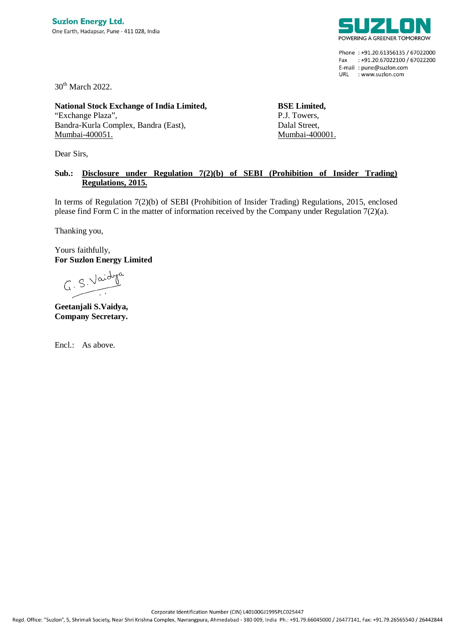

Phone: +91.20.61356135 / 67022000 Fax: +91.20.67022100 / 67022200 E-mail: pune@suzlon.com URL : www.suzlon.com

30<sup>th</sup> March 2022.

**National Stock Exchange of India Limited,** "Exchange Plaza", Bandra-Kurla Complex, Bandra (East), Mumbai-400051.

**BSE Limited,** P.J. Towers, Dalal Street, Mumbai-400001.

# **Sub.: Disclosure under Regulation 7(2)(b) of SEBI (Prohibition of Insider Trading) Regulations, 2015.**

In terms of Regulation 7(2)(b) of SEBI (Prohibition of Insider Trading) Regulations, 2015, enclosed please find Form C in the matter of information received by the Company under Regulation 7(2)(a).

Thanking you,

Dear Sirs,

Yours faithfully, **For Suzlon Energy Limited**

 $G. S. Vaid$ 

**Geetanjali S.Vaidya, Company Secretary.**

Encl.: As above.